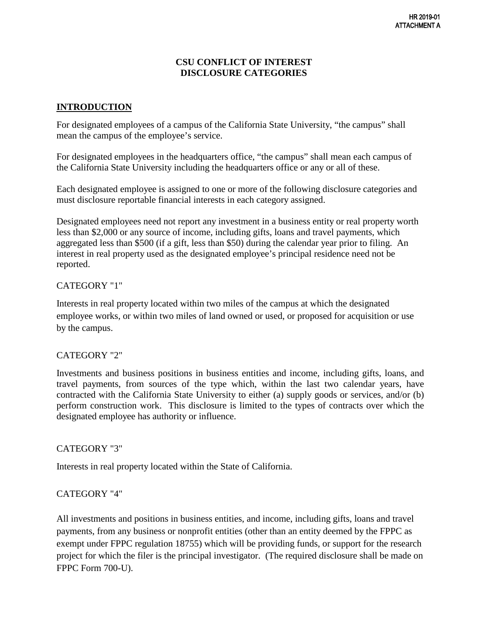#### **CSU CONFLICT OF INTEREST DISCLOSURE CATEGORIES**

# **INTRODUCTION**

For designated employees of a campus of the California State University, "the campus" shall mean the campus of the employee's service.

For designated employees in the headquarters office, "the campus" shall mean each campus of the California State University including the headquarters office or any or all of these.

Each designated employee is assigned to one or more of the following disclosure categories and must disclosure reportable financial interests in each category assigned.

Designated employees need not report any investment in a business entity or real property worth less than \$2,000 or any source of income, including gifts, loans and travel payments, which aggregated less than \$500 (if a gift, less than \$50) during the calendar year prior to filing. An interest in real property used as the designated employee's principal residence need not be reported.

#### CATEGORY "1"

Interests in real property located within two miles of the campus at which the designated employee works, or within two miles of land owned or used, or proposed for acquisition or use by the campus.

#### CATEGORY "2"

Investments and business positions in business entities and income, including gifts, loans, and travel payments, from sources of the type which, within the last two calendar years, have contracted with the California State University to either (a) supply goods or services, and/or (b) perform construction work. This disclosure is limited to the types of contracts over which the designated employee has authority or influence.

#### CATEGORY "3"

Interests in real property located within the State of California.

## CATEGORY "4"

All investments and positions in business entities, and income, including gifts, loans and travel payments, from any business or nonprofit entities (other than an entity deemed by the FPPC as exempt under FPPC regulation 18755) which will be providing funds, or support for the research project for which the filer is the principal investigator. (The required disclosure shall be made on FPPC Form 700-U).